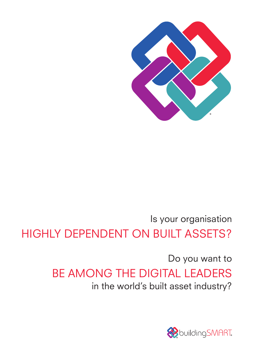

# Is your organisation HIGHLY DEPENDENT ON BUILT ASSETS?

Do you want to BE AMONG THE DIGITAL LEADERS in the world's built asset industry?

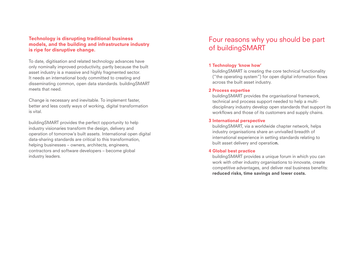## Technology is disrupting traditional business models, and the building and infrastructure industry is ripe for disruptive change.

To date, digitisation and related technology advances have only nominally improved productivity, partly because the built asset industry is a massive and highly fragmented sector. It needs an international body committed to creating and disseminating common, open data standards. buildingSMART meets that need.

Change is necessary and inevitable. To implement faster, better and less costly ways of working, digital transformation is vital.

buildingSMART provides the perfect opportunity to help industry visionaries transform the design, delivery and operation of tomorrow's built assets. International open digital data-sharing standards are critical to this transformation, helping businesses – owners, architects, engineers, contractors and software developers – become global industry leaders.

## Four reasons why you should be part of buildingSMART

## 1 Technology 'know how'

buildingSMART is creating the core technical functionality ("the operating system") for open digital information flows across the built asset industry.

## 2 Process expertise

buildingSMART provides the organisational framework, technical and process support needed to help a multidisciplinary industry develop open standards that support its workflows and those of its customers and supply chains.

## 3 International perspective

buildingSMART, via a worldwide chapter network, helps industry organisations share an unrivalled breadth of international experience in setting standards relating to built asset delivery and operation.

## 4 Global best practice

buildingSMART provides a unique forum in which you can work with other industry organisations to innovate, create competitive advantages, and deliver real business benefits: reduced risks, time savings and lower costs.